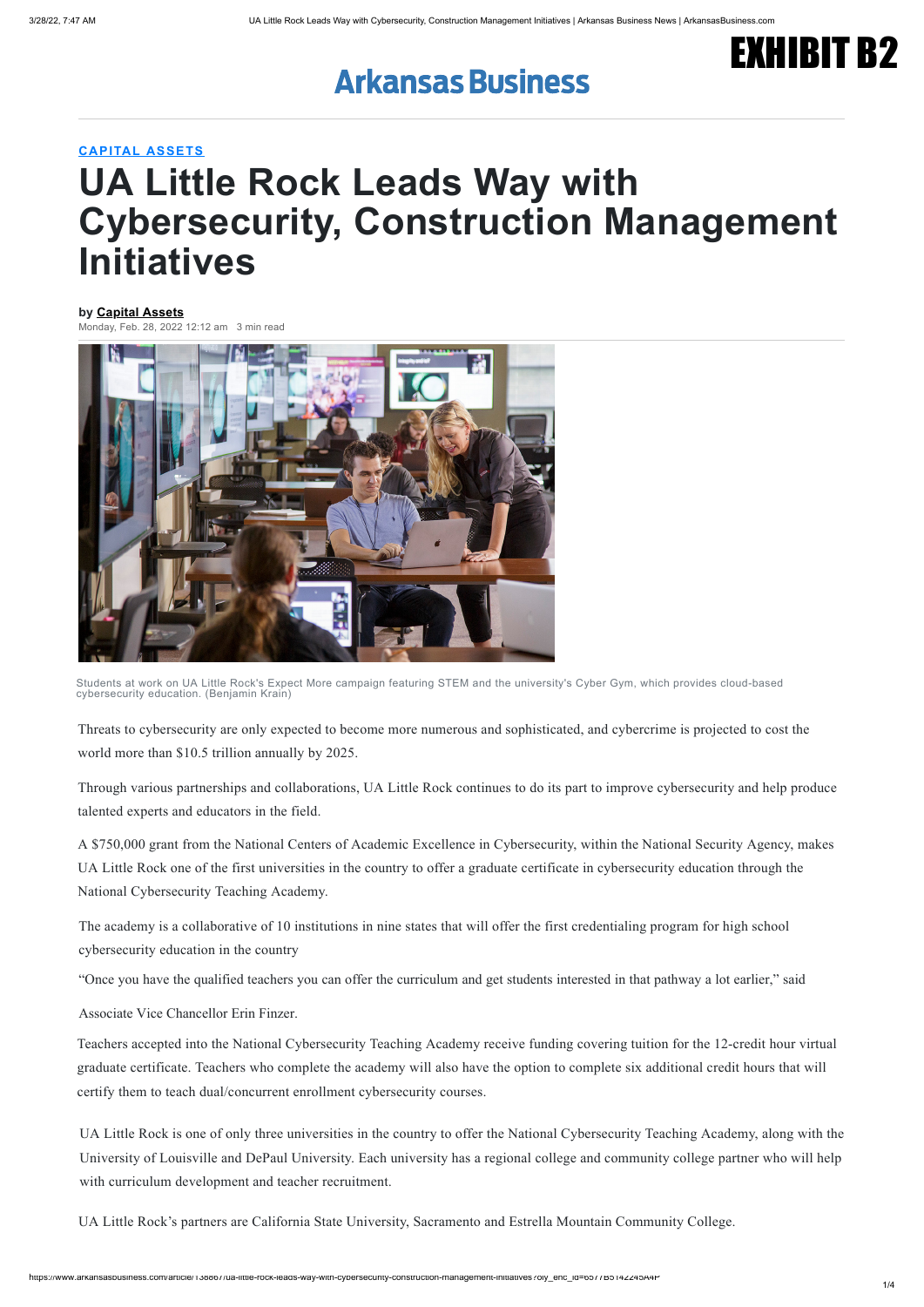### **[CAPITAL ASSETS](https://www.arkansasbusiness.com/tagged/37756/Capital+Assets)**

# **UA Little Rock Leads Way with Cybersecurity, Construction Management Initiatives**

#### **by [Capital Assets](mailto:info@abpg.com)**

Monday, Feb. 28, 2022 12:12 am 3 min read



Students at work on UA Little Rock's Expect More campaign featuring STEM and the university's Cyber Gym, which provides cloud-based cybersecurity education. (Benjamin Krain)

Threats to cybersecurity are only expected to become more numerous and sophisticated, and cybercrime is projected to cost the world more than \$10.5 trillion annually by 2025.

Through various partnerships and collaborations, UA Little Rock continues to do its part to improve cybersecurity and help produce talented experts and educators in the field.

A \$750,000 grant from the National Centers of Academic Excellence in Cybersecurity, within the National Security Agency, makes UA Little Rock one of the first universities in the country to offer a graduate certificate in cybersecurity education through the National Cybersecurity Teaching Academy.

The academy is a collaborative of 10 institutions in nine states that will offer the first credentialing program for high school cybersecurity education in the country

"Once you have the qualified teachers you can offer the curriculum and get students interested in that pathway a lot earlier," said

Associate Vice Chancellor Erin Finzer.

Teachers accepted into the National Cybersecurity Teaching Academy receive funding covering tuition for the 12-credit hour virtual graduate certificate. Teachers who complete the academy will also have the option to complete six additional credit hours that will certify them to teach dual/concurrent enrollment cybersecurity courses.

UA Little Rock is one of only three universities in the country to offer the National Cybersecurity Teaching Academy, along with the University of Louisville and DePaul University. Each university has a regional college and community college partner who will help with curriculum development and teacher recruitment.

UA Little Rock's partners are California State University, Sacramento and Estrella Mountain Community College.



## **Arkansas Business**